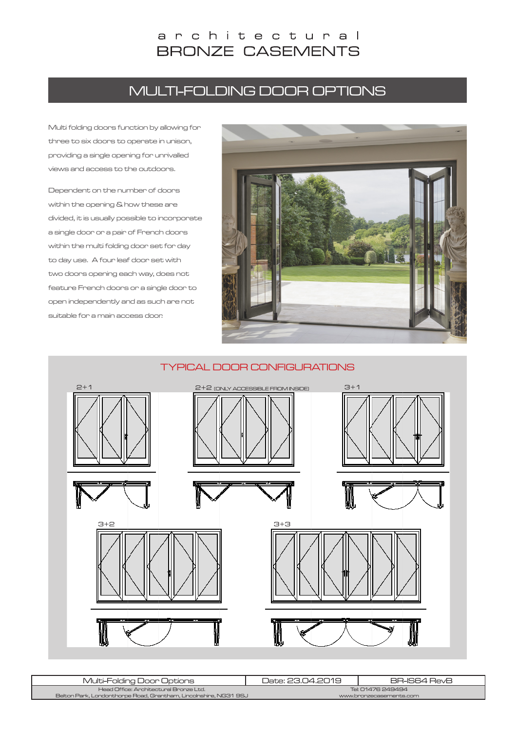# architectural **BRONZE CASEMENTS**

# MULTI-FOLDING DOOR OPTIONS

Multi folding doors function by allowing for three to six doors to operate in unison, providing a single opening for unrivalled views and access to the outdoors.

Dependent on the number of doors within the opening & how these are divided, it is usually possible to incorporate a single door or a pair of French doors within the multi folding door set for day to day use. A four leaf door set with two doors opening each way, does not feature French doors or a single door to open independently and as such are not suitable for a main access door.



# TYPICAL DOOR CONFIGURATIONS 2+1 (ONLY ACCESSIBLE FROM INSIDE) 2+2 3+13+2 3+3

| Multi-Folding Door Options                                       | Date: 23.04.2019        | BR-IS64 RevB |
|------------------------------------------------------------------|-------------------------|--------------|
| Head Office: Architectural Bronze Ltd.                           | Tel: 01476 249494       |              |
| Belton Park, Londonthorpe Road, Grantham, Lincolnshire, NG31 9SJ | www.bronzecasements.com |              |